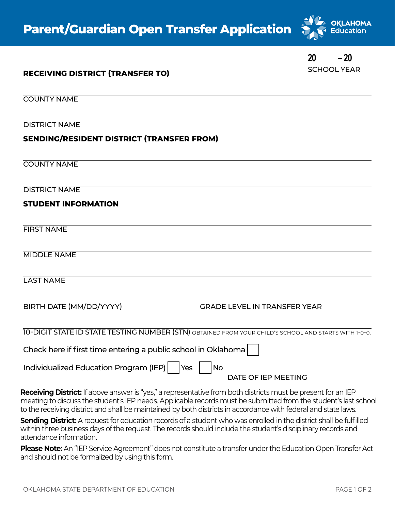

SCHOOL YEAR **20 – 20**

## **RECEIVING DISTRICT (TRANSFER TO)**

COUNTY NAME

DISTRICT NAME

## **SENDING/RESIDENT DISTRICT (TRANSFER FROM)**

COUNTY NAME

DISTRICT NAME

### **STUDENT INFORMATION**

FIRST NAME

MIDDLE NAME

LAST NAME

| BIRTH DATE (MM/DD/YYYY) |  |  |
|-------------------------|--|--|
|-------------------------|--|--|

GRADE LEVEL IN TRANSFER YEAR

10-DIGIT STATE ID STATE TESTING NUMBER (STN) OBTAINED FROM YOUR CHILD'S SCHOOL AND STARTS WITH 1-0-0.

Check here if first time entering a public school in Oklahoma

Individualized Education Program (IEP)  $|$   $|$  Yes  $|$   $|$  No

DATE OF IEP MEETING

**Receiving District:** If above answer is "yes," a representative from both districts must be present for an IEP meeting to discuss the student's IEP needs. Applicable records must be submitted from the student's last school to the receiving district and shall be maintained by both districts in accordance with federal and state laws.

**Sending District:** A request for education records of a student who was enrolled in the district shall be fulfilled within three business days of the request. The records should include the student's disciplinary records and attendance information.

**Please Note:** An "IEP Service Agreement" does not constitute a transfer under the Education Open Transfer Act and should not be formalized by using this form.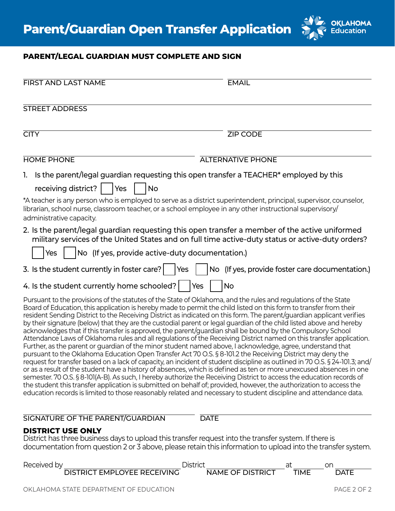

# **PARENT/LEGAL GUARDIAN MUST COMPLETE AND SIGN**

| <b>FIRST AND LAST NAME</b>                                                                                                                                                                                                                                                                                                                                                                                                                                                                                                                                                                                                                                                                                                                                                                                                                                                                                                                                                                                                                                                                                                                                                                                                                                                                                                    | <b>EMAIL</b>                                                                                                                                                                                                                                       |
|-------------------------------------------------------------------------------------------------------------------------------------------------------------------------------------------------------------------------------------------------------------------------------------------------------------------------------------------------------------------------------------------------------------------------------------------------------------------------------------------------------------------------------------------------------------------------------------------------------------------------------------------------------------------------------------------------------------------------------------------------------------------------------------------------------------------------------------------------------------------------------------------------------------------------------------------------------------------------------------------------------------------------------------------------------------------------------------------------------------------------------------------------------------------------------------------------------------------------------------------------------------------------------------------------------------------------------|----------------------------------------------------------------------------------------------------------------------------------------------------------------------------------------------------------------------------------------------------|
| <b>STREET ADDRESS</b>                                                                                                                                                                                                                                                                                                                                                                                                                                                                                                                                                                                                                                                                                                                                                                                                                                                                                                                                                                                                                                                                                                                                                                                                                                                                                                         |                                                                                                                                                                                                                                                    |
| <b>CITY</b>                                                                                                                                                                                                                                                                                                                                                                                                                                                                                                                                                                                                                                                                                                                                                                                                                                                                                                                                                                                                                                                                                                                                                                                                                                                                                                                   | <b>ZIP CODE</b>                                                                                                                                                                                                                                    |
| <b>HOME PHONE</b>                                                                                                                                                                                                                                                                                                                                                                                                                                                                                                                                                                                                                                                                                                                                                                                                                                                                                                                                                                                                                                                                                                                                                                                                                                                                                                             | <b>ALTERNATIVE PHONE</b>                                                                                                                                                                                                                           |
| 1. Is the parent/legal guardian requesting this open transfer a TEACHER* employed by this                                                                                                                                                                                                                                                                                                                                                                                                                                                                                                                                                                                                                                                                                                                                                                                                                                                                                                                                                                                                                                                                                                                                                                                                                                     |                                                                                                                                                                                                                                                    |
| receiving district?  <br> Yes<br><b>No</b>                                                                                                                                                                                                                                                                                                                                                                                                                                                                                                                                                                                                                                                                                                                                                                                                                                                                                                                                                                                                                                                                                                                                                                                                                                                                                    |                                                                                                                                                                                                                                                    |
| *A teacher is any person who is employed to serve as a district superintendent, principal, supervisor, counselor,<br>librarian, school nurse, classroom teacher, or a school employee in any other instructional supervisory/<br>administrative capacity.                                                                                                                                                                                                                                                                                                                                                                                                                                                                                                                                                                                                                                                                                                                                                                                                                                                                                                                                                                                                                                                                     |                                                                                                                                                                                                                                                    |
| 2. Is the parent/legal guardian requesting this open transfer a member of the active uniformed                                                                                                                                                                                                                                                                                                                                                                                                                                                                                                                                                                                                                                                                                                                                                                                                                                                                                                                                                                                                                                                                                                                                                                                                                                | military services of the United States and on full time active-duty status or active-duty orders?                                                                                                                                                  |
| No (If yes, provide active-duty documentation.)<br>Yes                                                                                                                                                                                                                                                                                                                                                                                                                                                                                                                                                                                                                                                                                                                                                                                                                                                                                                                                                                                                                                                                                                                                                                                                                                                                        |                                                                                                                                                                                                                                                    |
| 3. Is the student currently in foster care?<br>Yes                                                                                                                                                                                                                                                                                                                                                                                                                                                                                                                                                                                                                                                                                                                                                                                                                                                                                                                                                                                                                                                                                                                                                                                                                                                                            | No (If yes, provide foster care documentation.)                                                                                                                                                                                                    |
| 4. Is the student currently home schooled?   Yes                                                                                                                                                                                                                                                                                                                                                                                                                                                                                                                                                                                                                                                                                                                                                                                                                                                                                                                                                                                                                                                                                                                                                                                                                                                                              | <b>No</b>                                                                                                                                                                                                                                          |
| Pursuant to the provisions of the statutes of the State of Oklahoma, and the rules and regulations of the State<br>Board of Education, this application is hereby made to permit the child listed on this form to transfer from their<br>resident Sending District to the Receiving District as indicated on this form. The parent/guardian applicant verifies<br>by their signature (below) that they are the custodial parent or legal guardian of the child listed above and hereby<br>acknowledges that if this transfer is approved, the parent/quardian shall be bound by the Compulsory School<br>Further, as the parent or quardian of the minor student named above, I acknowledge, agree, understand that<br>pursuant to the Oklahoma Education Open Transfer Act 70 O.S. § 8-101.2 the Receiving District may deny the<br>or as a result of the student have a history of absences, which is defined as ten or more unexcused absences in one<br>semester. 70 O.S. § 8-101(A-B). As such, I hereby authorize the Receiving District to access the education records of<br>the student this transfer application is submitted on behalf of; provided, however, the authorization to access the<br>education records is limited to those reasonably related and necessary to student discipline and attendance data. | Attendance Laws of Oklahoma rules and all regulations of the Receiving District named on this transfer application.<br>request for transfer based on a lack of capacity, an incident of student discipline as outlined in 70 O.S. § 24-101.3; and/ |
| SIGNATURE OF THE PARENT/GUARDIAN                                                                                                                                                                                                                                                                                                                                                                                                                                                                                                                                                                                                                                                                                                                                                                                                                                                                                                                                                                                                                                                                                                                                                                                                                                                                                              | <b>DATE</b>                                                                                                                                                                                                                                        |
| <b>DISTRICT USE ONLY</b><br>District has three business days to upload this transfer request into the transfer system. If there is                                                                                                                                                                                                                                                                                                                                                                                                                                                                                                                                                                                                                                                                                                                                                                                                                                                                                                                                                                                                                                                                                                                                                                                            | documentation from question 2 or 3 above, please retain this information to upload into the transfer system.                                                                                                                                       |
|                                                                                                                                                                                                                                                                                                                                                                                                                                                                                                                                                                                                                                                                                                                                                                                                                                                                                                                                                                                                                                                                                                                                                                                                                                                                                                                               |                                                                                                                                                                                                                                                    |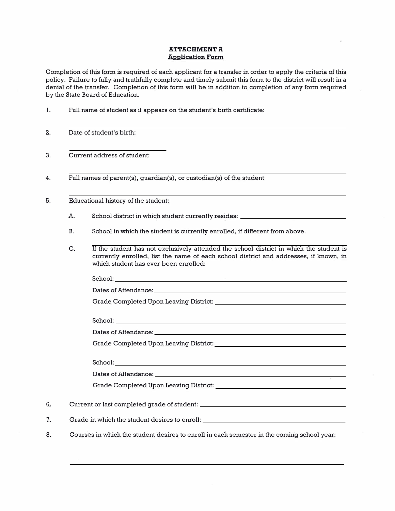### **ATTACHMENT** *A* **Application Form**

**Completion of this form is required of each applicant for a transfer in order to apply the criteria of this policy. Failure to fully and truthfully complete and timely submit this form to the district will result in a**  denial of the transfer. Completion of this form will be in addition to completion of any form required **by the State Board of Education.** 

**1. Full name of student as it appears on the student's birth certificate:**

**2. Date of student's birth:**

| . . |    | baic of placeth p biftin                                                                |
|-----|----|-----------------------------------------------------------------------------------------|
| 3.  |    | Current address of student:                                                             |
| 4.  |    | Full names of parent(s), quardian(s), or custodian(s) of the student                    |
| 5.  |    | Educational history of the student:                                                     |
|     | A. | School district in which student currently resides: _______                             |
|     | В. | School in which the student is currently enrolled, if different from above.             |
|     | C. | If the student has not exclusively attended the school district in which the student is |

**C. If the student has not exclusively attended the school district in which the student is currently enrolled, list the name of each school district and addresses, if known, in which student has ever been enrolled:**

|    | School: with the contract of the contract of the contract of the contract of the contract of the contract of the contract of the contract of the contract of the contract of the contract of the contract of the contract of t |
|----|--------------------------------------------------------------------------------------------------------------------------------------------------------------------------------------------------------------------------------|
|    |                                                                                                                                                                                                                                |
|    |                                                                                                                                                                                                                                |
|    |                                                                                                                                                                                                                                |
| 6. |                                                                                                                                                                                                                                |
| 7. | Grade in which the student desires to enroll: __________________________________                                                                                                                                               |
| 8. | Courses in which the student desires to enroll in each semester in the coming school year:                                                                                                                                     |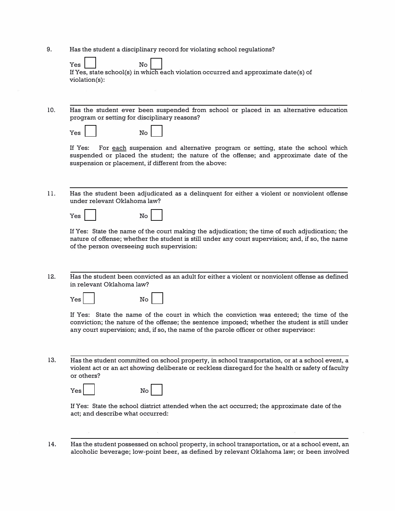**9. Has the student a disciplinary record for violating school regulations?**

| Yes           | $\mathbb{N}^{\circ}$ |                                                                                     |
|---------------|----------------------|-------------------------------------------------------------------------------------|
|               |                      | If Yes, state school(s) in which each violation occurred and approximate date(s) of |
| violation(s): |                      |                                                                                     |

**10. Has the student ever been suspended from school or placed in an alternative education program or setting for disciplinary reasons?**

| Yes |  |  | Nο |  |
|-----|--|--|----|--|
|     |  |  |    |  |

If **Yes: For each suspension and alternative program or setting, state the school which suspended or placed the student; the nature of the offense; and approximate date of the suspension or placement, if different from the above:**

**11. Has the student been adjudicated as a delinquent for either a violent or nonviolent offense under relevant Oklahoma law?**

| Yes |  | No |  |  |
|-----|--|----|--|--|
|-----|--|----|--|--|

If **Yes: State the name of the court making the adjudication; the time of such adjudication; the nature of offense; whether the student is still under any court supervision; and, if so, the name of the person overseeing such supervision:**

**12. Has the student been convicted as an adult for either a violent or nonviolent offense as defined in relevant Oklahoma law?**

| Yes.<br>Nο |  |
|------------|--|
|------------|--|

If **Yes: State the name of the court in which the conviction was entered; the time of the conviction; the nature of the offense; the sentence imposed; whether the student is still under any court supervision; and, if so, the name of the parole officer or other supervisor:**

**13. Has the student committed on school property, in school transportation, or at a school event, a violent act or an act showing deliberate or reckless disregard for the health or safety of faculty or others?**

| Yesl<br>No l |  |
|--------------|--|
|--------------|--|

If **Yes: State the school district attended when the act occurred; the approximate date of the act; and describe what occurred:**

**14. Has the student possessed on school property, in school transportation, or at a school event, an alcoholic beverage; low-point beer, as defined by relevant Oklahoma law; or been involved**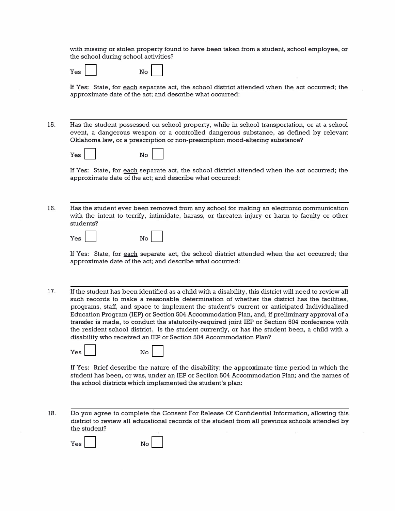**with missing or stolen property found to have been taken from a student, school employee, or the school during school activities?** 

| ∽<br>I<br>N٢ | -- | ↖<br>≏ |
|--------------|----|--------|
|              |    |        |

 $\overline{\phantom{0}}$ 

If **Yes: State, for each separate act, the school district attended when the act occurred; the approximate date of the act; and describe what occurred:** 

**15. Has the student possessed on school property, while in school transportation, or at a school event, a dangerous weapon or a controlled dangerous substance, as defined by relevant Oklahoma law, or a prescription or non-prescription mood-altering substance?**

| $Yes$ | No |                                                                                                                                                            |  |  |
|-------|----|------------------------------------------------------------------------------------------------------------------------------------------------------------|--|--|
|       |    | If Yes:  State, for each separate act, the school district attended when the act occurred; the<br>approximate date of the act; and describe what occurred: |  |  |

**16. Has the student ever been removed from any school for making an electronic communication with the intent to terrify, intimidate, harass, or threaten injury or harm to faculty or other students?**

| Yes | No |  |
|-----|----|--|
|     |    |  |

If **Yes: State, for each separate act, the school district attended when the act occurred; the approximate date of the act; and describe what occurred:**

**1 7.** If **the student has been identified as a child with a disability, this district will need to review all such records to make a reasonable determination of whether the district has the facilities, programs, staff, and space to implement the student's current or anticipated Individualized Education Program (IEP) or Section 504 Accommodation Plan, and, if preliminary approval of a transfer is made, to conduct the statutorily-required joint IEP or Section 504 conference with the resident school district. Is the student currently, or has the student been, a child with a disability who received an IEP or Section 504 Accommodation Plan?** 

| Yes | Ν∩ |
|-----|----|
|-----|----|

If **Yes: Brief describe the nature of the disability; the approximate time period in which the student has been, or was, under an IEP or Section 504 Accommodation Plan; and the names of the school districts which implemented the student's plan:** 

**18. Do you agree to complete the Consent For Release Of Confidential Information, allowing this district to review all educational records of the student from all previous schools attended by the student?**

**Yes No**